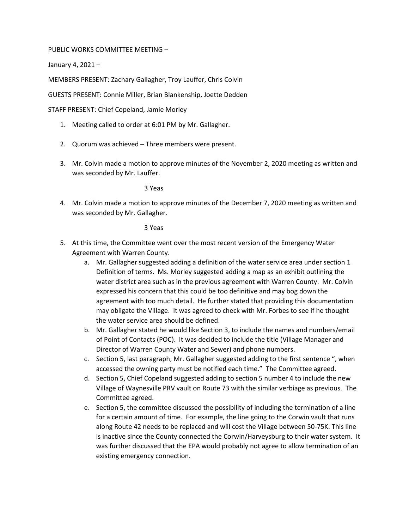## PUBLIC WORKS COMMITTEE MEETING –

January 4, 2021 –

MEMBERS PRESENT: Zachary Gallagher, Troy Lauffer, Chris Colvin

GUESTS PRESENT: Connie Miller, Brian Blankenship, Joette Dedden

STAFF PRESENT: Chief Copeland, Jamie Morley

- 1. Meeting called to order at 6:01 PM by Mr. Gallagher.
- 2. Quorum was achieved Three members were present.
- 3. Mr. Colvin made a motion to approve minutes of the November 2, 2020 meeting as written and was seconded by Mr. Lauffer.

3 Yeas

4. Mr. Colvin made a motion to approve minutes of the December 7, 2020 meeting as written and was seconded by Mr. Gallagher.

3 Yeas

- 5. At this time, the Committee went over the most recent version of the Emergency Water Agreement with Warren County.
	- a. Mr. Gallagher suggested adding a definition of the water service area under section 1 Definition of terms. Ms. Morley suggested adding a map as an exhibit outlining the water district area such as in the previous agreement with Warren County. Mr. Colvin expressed his concern that this could be too definitive and may bog down the agreement with too much detail. He further stated that providing this documentation may obligate the Village. It was agreed to check with Mr. Forbes to see if he thought the water service area should be defined.
	- b. Mr. Gallagher stated he would like Section 3, to include the names and numbers/email of Point of Contacts (POC). It was decided to include the title (Village Manager and Director of Warren County Water and Sewer) and phone numbers.
	- c. Section 5, last paragraph, Mr. Gallagher suggested adding to the first sentence ", when accessed the owning party must be notified each time." The Committee agreed.
	- d. Section 5, Chief Copeland suggested adding to section 5 number 4 to include the new Village of Waynesville PRV vault on Route 73 with the similar verbiage as previous. The Committee agreed.
	- e. Section 5, the committee discussed the possibility of including the termination of a line for a certain amount of time. For example, the line going to the Corwin vault that runs along Route 42 needs to be replaced and will cost the Village between 50-75K. This line is inactive since the County connected the Corwin/Harveysburg to their water system. It was further discussed that the EPA would probably not agree to allow termination of an existing emergency connection.